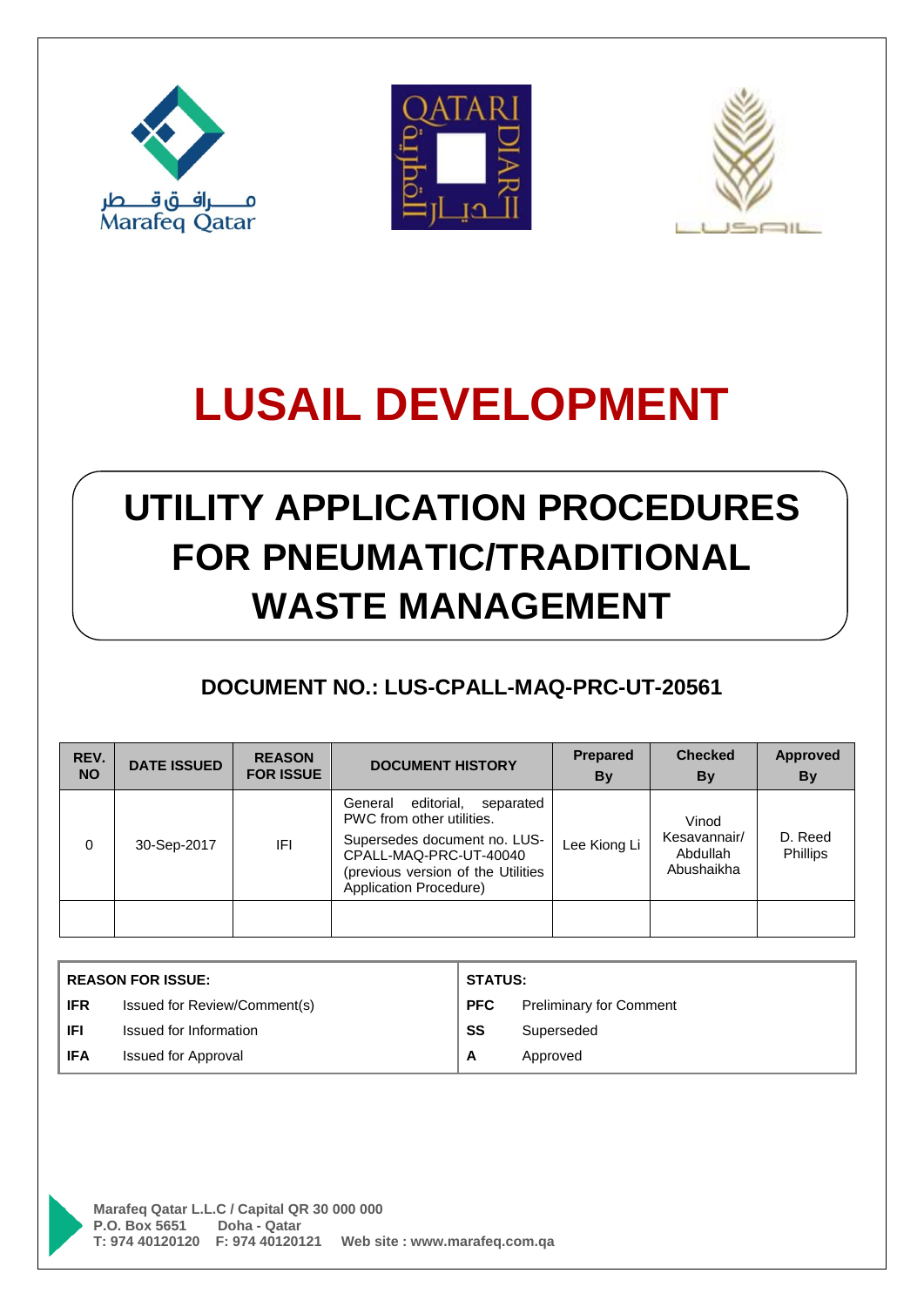





## **UTILITY APPLICATION PROCEDURES FOR PNEUMATIC/TRADITIONAL WASTE MANAGEMENT**

### **DOCUMENT NO.: LUS-CPALL-MAQ-PRC-UT-20561**

| REV.<br><b>NO</b> | <b>DATE ISSUED</b> | <b>REASON</b><br><b>FOR ISSUE</b> | <b>DOCUMENT HISTORY</b>                                                                                                                                                                   | Prepared<br>By | <b>Checked</b><br>By                            | <b>Approved</b><br><b>By</b> |
|-------------------|--------------------|-----------------------------------|-------------------------------------------------------------------------------------------------------------------------------------------------------------------------------------------|----------------|-------------------------------------------------|------------------------------|
| $\Omega$          | 30-Sep-2017        | IFI                               | editorial,<br>separated<br>General<br>PWC from other utilities.<br>Supersedes document no. LUS-<br>CPALL-MAQ-PRC-UT-40040<br>(previous version of the Utilities<br>Application Procedure) | Lee Kiong Li   | Vinod<br>Kesavannair/<br>Abdullah<br>Abushaikha | D. Reed<br><b>Phillips</b>   |
|                   |                    |                                   |                                                                                                                                                                                           |                |                                                 |                              |

| <b>REASON FOR ISSUE:</b> |                              | <b>STATUS:</b> |                                |
|--------------------------|------------------------------|----------------|--------------------------------|
| <b>IFR</b>               | Issued for Review/Comment(s) | <b>PFC</b>     | <b>Preliminary for Comment</b> |
| <b>IFI</b>               | Issued for Information       | SS             | Superseded                     |
| <b>IFA</b>               | <b>Issued for Approval</b>   | A              | Approved                       |

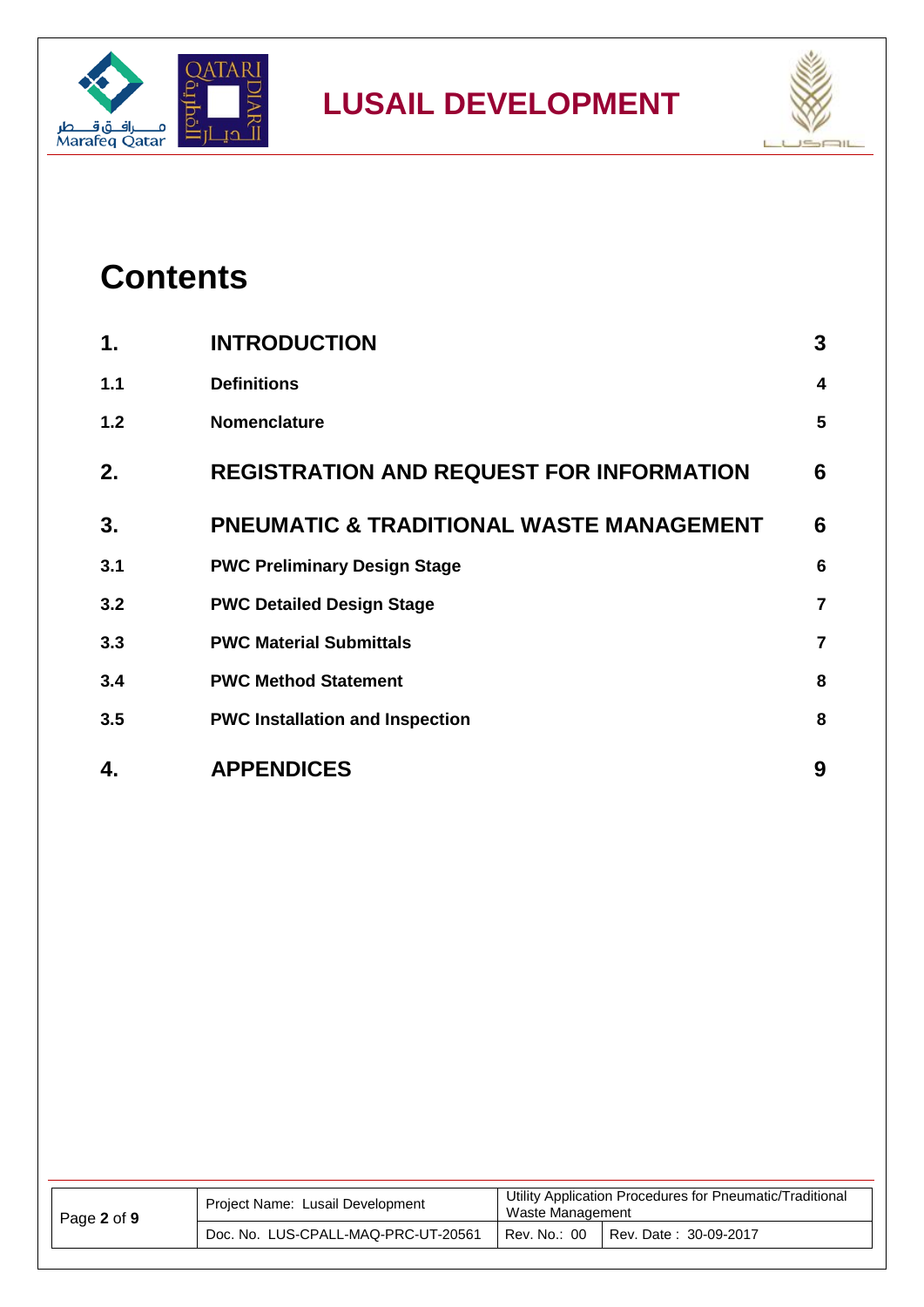



### **Contents**

| 4.  | <b>APPENDICES</b>                                   | 9                       |
|-----|-----------------------------------------------------|-------------------------|
| 3.5 | <b>PWC Installation and Inspection</b>              | 8                       |
| 3.4 | <b>PWC Method Statement</b>                         | 8                       |
| 3.3 | <b>PWC Material Submittals</b>                      | $\overline{7}$          |
| 3.2 | <b>PWC Detailed Design Stage</b>                    | $\overline{\mathbf{r}}$ |
| 3.1 | <b>PWC Preliminary Design Stage</b>                 | $6\phantom{1}6$         |
| 3.  | <b>PNEUMATIC &amp; TRADITIONAL WASTE MANAGEMENT</b> | 6                       |
| 2.  | <b>REGISTRATION AND REQUEST FOR INFORMATION</b>     | 6                       |
| 1.2 | <b>Nomenclature</b>                                 | 5                       |
| 1.1 | <b>Definitions</b>                                  | 4                       |
| 1.  | <b>INTRODUCTION</b>                                 | 3                       |

| Page 2 of 9 | Project Name: Lusail Development    | Utility Application Procedures for Pneumatic/Traditional<br>Waste Management |  |
|-------------|-------------------------------------|------------------------------------------------------------------------------|--|
|             | Doc. No. LUS-CPALL-MAQ-PRC-UT-20561 | Rev. No.: 00<br>Rev. Date: 30-09-2017                                        |  |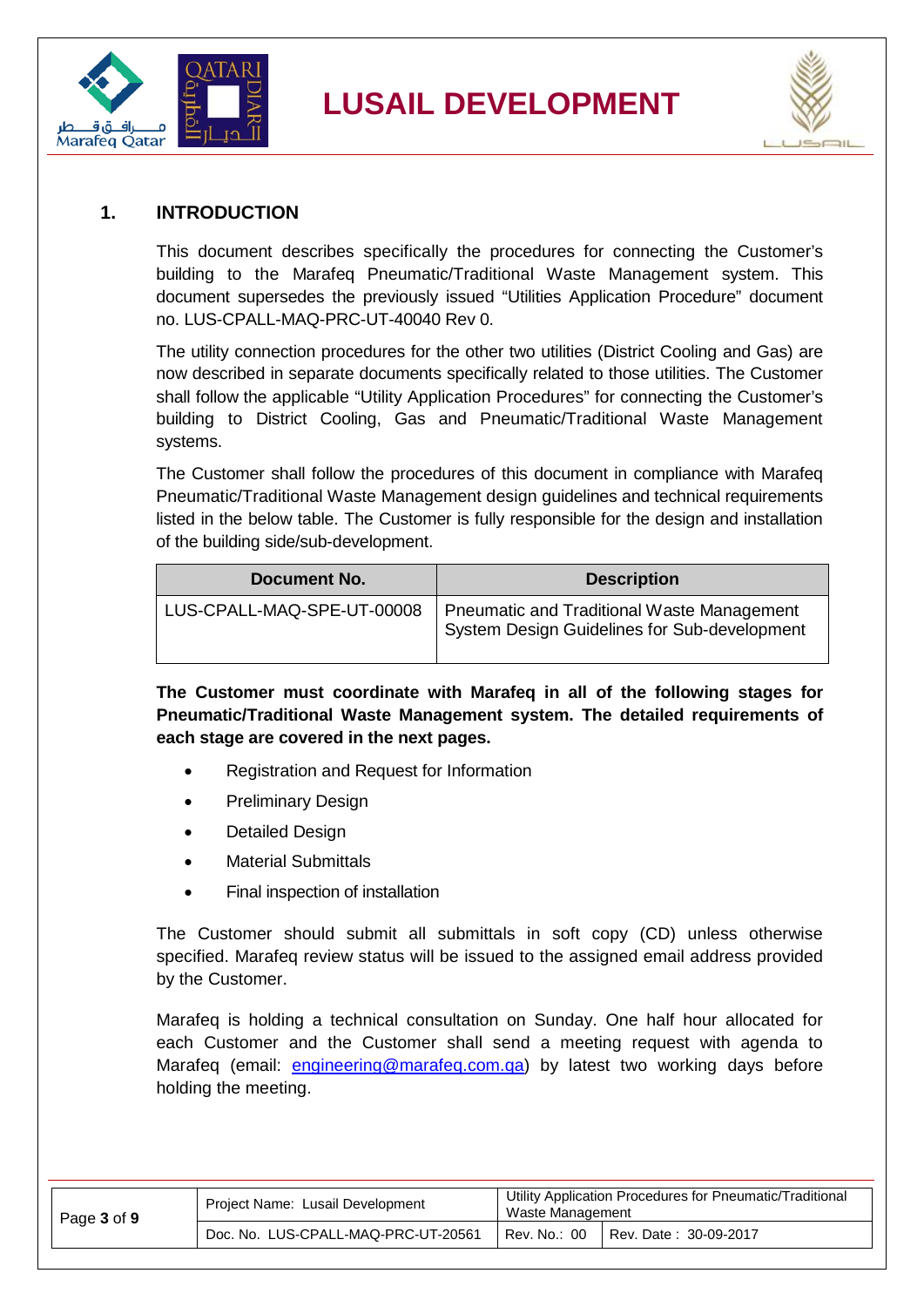



#### <span id="page-2-0"></span>**1. INTRODUCTION**

This document describes specifically the procedures for connecting the Customer's building to the Marafeq Pneumatic/Traditional Waste Management system. This document supersedes the previously issued "Utilities Application Procedure" document no. LUS-CPALL-MAQ-PRC-UT-40040 Rev 0.

The utility connection procedures for the other two utilities (District Cooling and Gas) are now described in separate documents specifically related to those utilities. The Customer shall follow the applicable "Utility Application Procedures" for connecting the Customer's building to District Cooling, Gas and Pneumatic/Traditional Waste Management systems.

The Customer shall follow the procedures of this document in compliance with Marafeq Pneumatic/Traditional Waste Management design guidelines and technical requirements listed in the below table. The Customer is fully responsible for the design and installation of the building side/sub-development.

| Document No.               | <b>Description</b>                                                                         |
|----------------------------|--------------------------------------------------------------------------------------------|
| LUS-CPALL-MAQ-SPE-UT-00008 | Pneumatic and Traditional Waste Management<br>System Design Guidelines for Sub-development |

**The Customer must coordinate with Marafeq in all of the following stages for Pneumatic/Traditional Waste Management system. The detailed requirements of each stage are covered in the next pages.**

- Registration and Request for Information
- Preliminary Design
- Detailed Design
- Material Submittals
- Final inspection of installation

The Customer should submit all submittals in soft copy (CD) unless otherwise specified. Marafeq review status will be issued to the assigned email address provided by the Customer.

Marafeq is holding a technical consultation on Sunday. One half hour allocated for each Customer and the Customer shall send a meeting request with agenda to Marafeq (email: [engineering@marafeq.com.qa\)](mailto:engineering@marafeq.com.qa) by latest two working days before holding the meeting.

| Page 3 of 9 | Project Name: Lusail Development    | Utility Application Procedures for Pneumatic/Traditional<br>Waste Management |                       |
|-------------|-------------------------------------|------------------------------------------------------------------------------|-----------------------|
|             | Doc. No. LUS-CPALL-MAQ-PRC-UT-20561 | Rev. No.: 00                                                                 | Rev. Date: 30-09-2017 |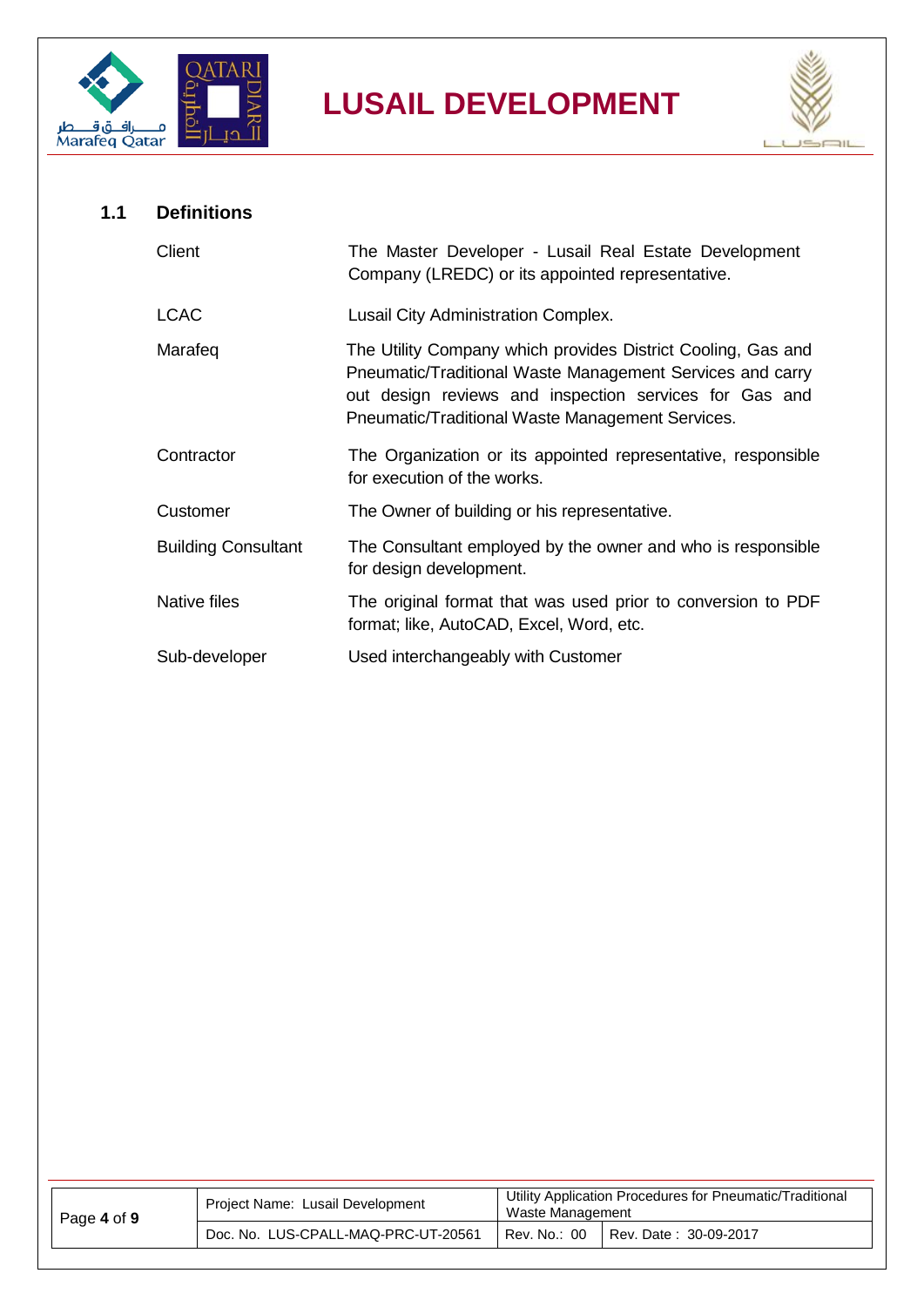



<span id="page-3-0"></span>

| 1.1 | <b>Definitions</b>         |                                                                                                                                                                                                                                         |
|-----|----------------------------|-----------------------------------------------------------------------------------------------------------------------------------------------------------------------------------------------------------------------------------------|
|     | Client                     | The Master Developer - Lusail Real Estate Development<br>Company (LREDC) or its appointed representative.                                                                                                                               |
|     | <b>LCAC</b>                | Lusail City Administration Complex.                                                                                                                                                                                                     |
|     | Marafeq                    | The Utility Company which provides District Cooling, Gas and<br>Pneumatic/Traditional Waste Management Services and carry<br>out design reviews and inspection services for Gas and<br>Pneumatic/Traditional Waste Management Services. |
|     | Contractor                 | The Organization or its appointed representative, responsible<br>for execution of the works.                                                                                                                                            |
|     | Customer                   | The Owner of building or his representative.                                                                                                                                                                                            |
|     | <b>Building Consultant</b> | The Consultant employed by the owner and who is responsible<br>for design development.                                                                                                                                                  |
|     | Native files               | The original format that was used prior to conversion to PDF<br>format; like, AutoCAD, Excel, Word, etc.                                                                                                                                |
|     | Sub-developer              | Used interchangeably with Customer                                                                                                                                                                                                      |

| Page 4 of 9 | Project Name: Lusail Development    | Utility Application Procedures for Pneumatic/Traditional<br>Waste Management |                       |
|-------------|-------------------------------------|------------------------------------------------------------------------------|-----------------------|
|             | Doc. No. LUS-CPALL-MAQ-PRC-UT-20561 | Rev. No.: 00                                                                 | Rev. Date: 30-09-2017 |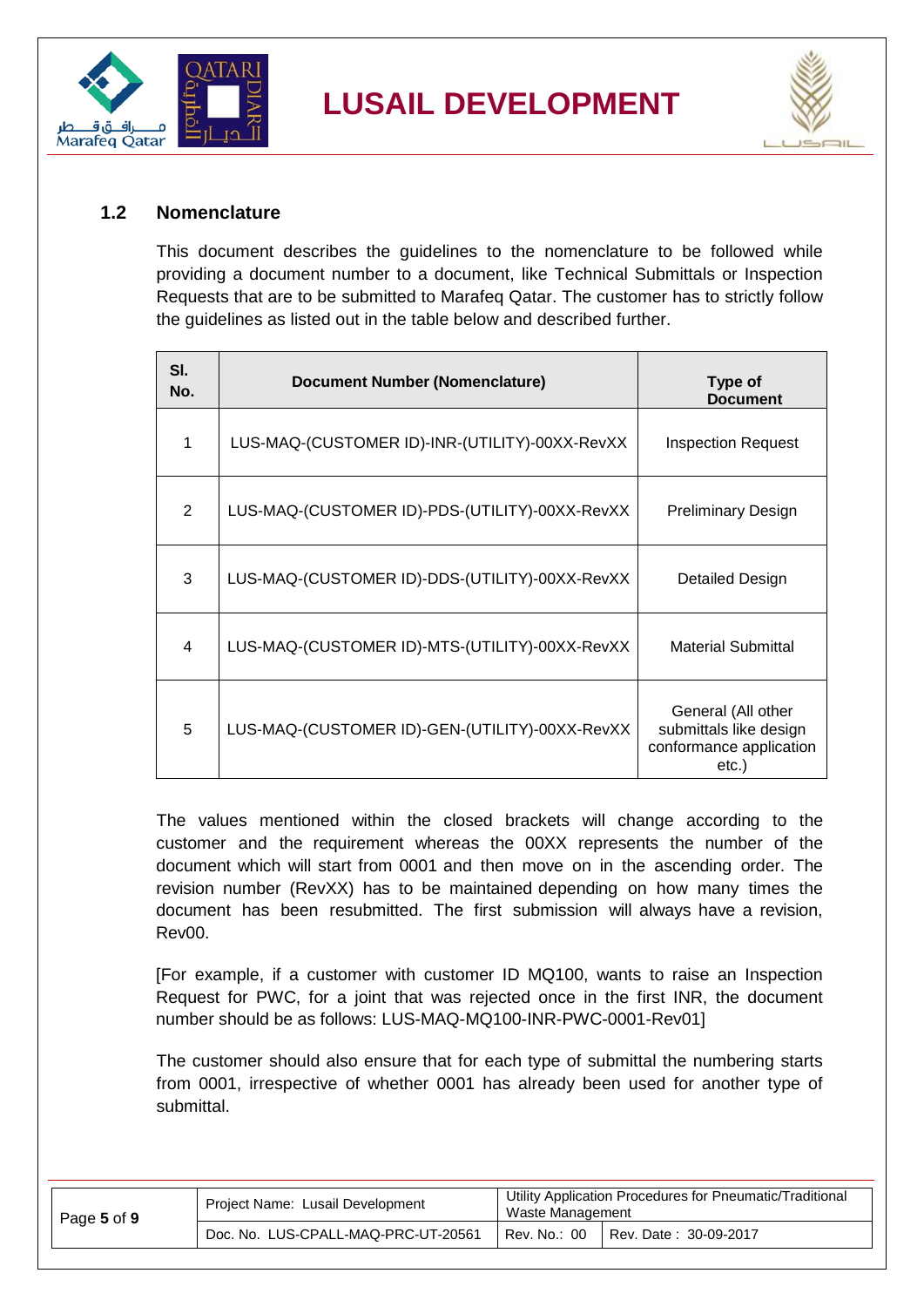



#### <span id="page-4-0"></span>**1.2 Nomenclature**

This document describes the guidelines to the nomenclature to be followed while providing a document number to a document, like Technical Submittals or Inspection Requests that are to be submitted to Marafeq Qatar. The customer has to strictly follow the guidelines as listed out in the table below and described further.

| SI.<br>No. | <b>Document Number (Nomenclature)</b>          | Type of<br><b>Document</b>                                                       |
|------------|------------------------------------------------|----------------------------------------------------------------------------------|
| 1          | LUS-MAQ-(CUSTOMER ID)-INR-(UTILITY)-00XX-RevXX | Inspection Request                                                               |
| 2          | LUS-MAQ-(CUSTOMER ID)-PDS-(UTILITY)-00XX-RevXX | <b>Preliminary Design</b>                                                        |
| 3          | LUS-MAQ-(CUSTOMER ID)-DDS-(UTILITY)-00XX-RevXX | Detailed Design                                                                  |
| 4          | LUS-MAQ-(CUSTOMER ID)-MTS-(UTILITY)-00XX-RevXX | <b>Material Submittal</b>                                                        |
| 5          | LUS-MAQ-(CUSTOMER ID)-GEN-(UTILITY)-00XX-RevXX | General (All other<br>submittals like design<br>conformance application<br>etc.) |

The values mentioned within the closed brackets will change according to the customer and the requirement whereas the 00XX represents the number of the document which will start from 0001 and then move on in the ascending order. The revision number (RevXX) has to be maintained depending on how many times the document has been resubmitted. The first submission will always have a revision, Rev00.

[For example, if a customer with customer ID MQ100, wants to raise an Inspection Request for PWC, for a joint that was rejected once in the first INR, the document number should be as follows: LUS-MAQ-MQ100-INR-PWC-0001-Rev01]

The customer should also ensure that for each type of submittal the numbering starts from 0001, irrespective of whether 0001 has already been used for another type of submittal.

| Page 5 of 9 | Project Name: Lusail Development    | Utility Application Procedures for Pneumatic/Traditional<br>Waste Management |                       |
|-------------|-------------------------------------|------------------------------------------------------------------------------|-----------------------|
|             | Doc. No. LUS-CPALL-MAQ-PRC-UT-20561 | Rev. No.: 00                                                                 | Rev. Date: 30-09-2017 |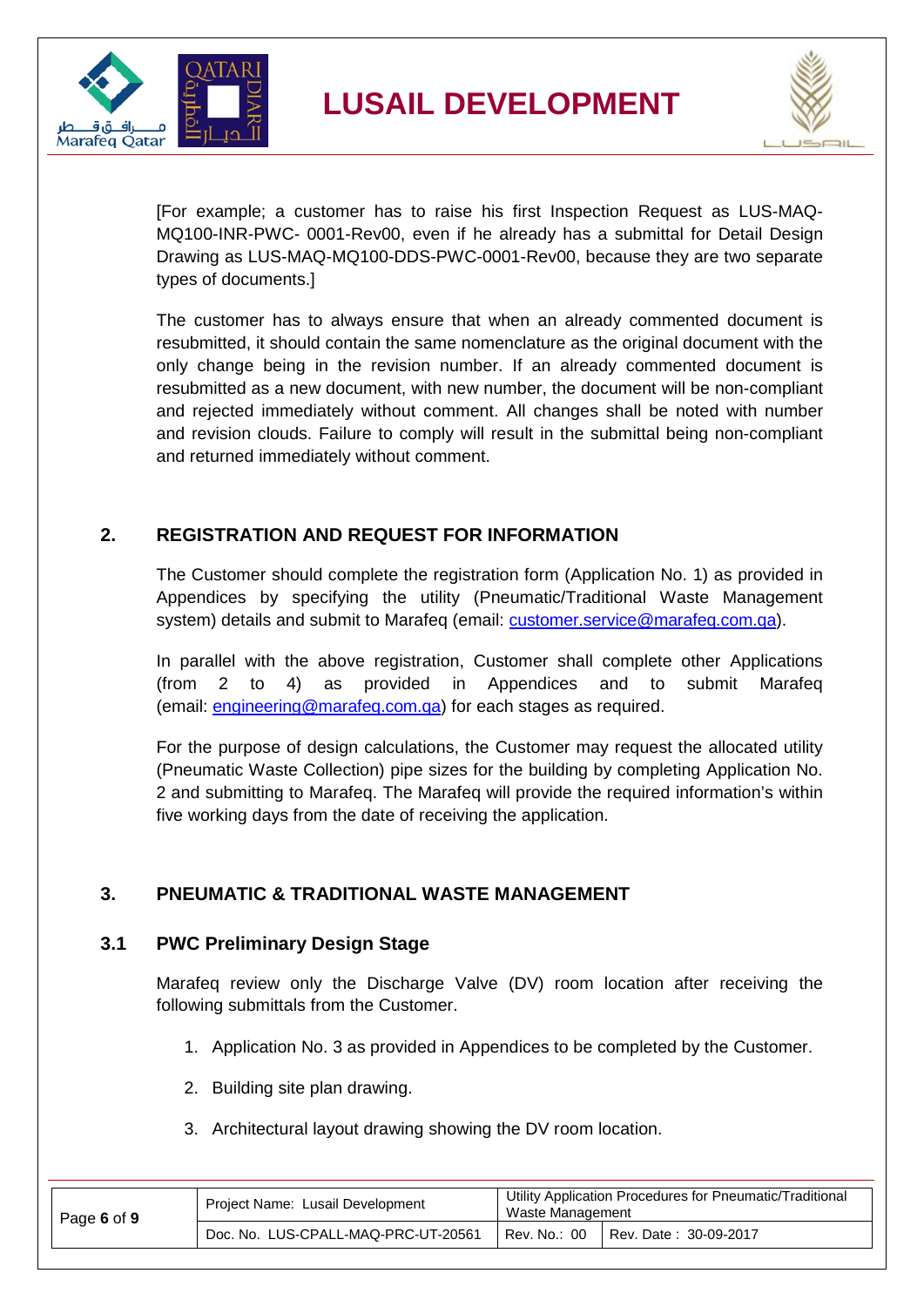



[For example; a customer has to raise his first Inspection Request as LUS-MAQ-MQ100-INR-PWC- 0001-Rev00, even if he already has a submittal for Detail Design Drawing as LUS-MAQ-MQ100-DDS-PWC-0001-Rev00, because they are two separate types of documents.]

The customer has to always ensure that when an already commented document is resubmitted, it should contain the same nomenclature as the original document with the only change being in the revision number. If an already commented document is resubmitted as a new document, with new number, the document will be non-compliant and rejected immediately without comment. All changes shall be noted with number and revision clouds. Failure to comply will result in the submittal being non-compliant and returned immediately without comment.

#### <span id="page-5-0"></span>**2. REGISTRATION AND REQUEST FOR INFORMATION**

The Customer should complete the registration form (Application No. 1) as provided in Appendices by specifying the utility (Pneumatic/Traditional Waste Management system) details and submit to Marafeq (email: [customer.service@marafeq.com.qa\)](mailto:customer.service@marafeq.com.qa).

In parallel with the above registration, Customer shall complete other Applications (from 2 to 4) as provided in Appendices and to submit Marafeq (email: [engineering@marafeq.com.qa\)](mailto:engineering@marafeq.com.qa) for each stages as required.

For the purpose of design calculations, the Customer may request the allocated utility (Pneumatic Waste Collection) pipe sizes for the building by completing Application No. 2 and submitting to Marafeq. The Marafeq will provide the required information's within five working days from the date of receiving the application.

#### <span id="page-5-1"></span>**3. PNEUMATIC & TRADITIONAL WASTE MANAGEMENT**

#### <span id="page-5-2"></span>**3.1 PWC Preliminary Design Stage**

Marafeq review only the Discharge Valve (DV) room location after receiving the following submittals from the Customer.

- 1. Application No. 3 as provided in Appendices to be completed by the Customer.
- 2. Building site plan drawing.
- 3. Architectural layout drawing showing the DV room location.

| Page 6 of 9 | Project Name: Lusail Development    | Utility Application Procedures for Pneumatic/Traditional<br>Waste Management |                         |  |
|-------------|-------------------------------------|------------------------------------------------------------------------------|-------------------------|--|
|             | Doc. No. LUS-CPALL-MAQ-PRC-UT-20561 | Rev. No.: 00                                                                 | i Rev. Date: 30-09-2017 |  |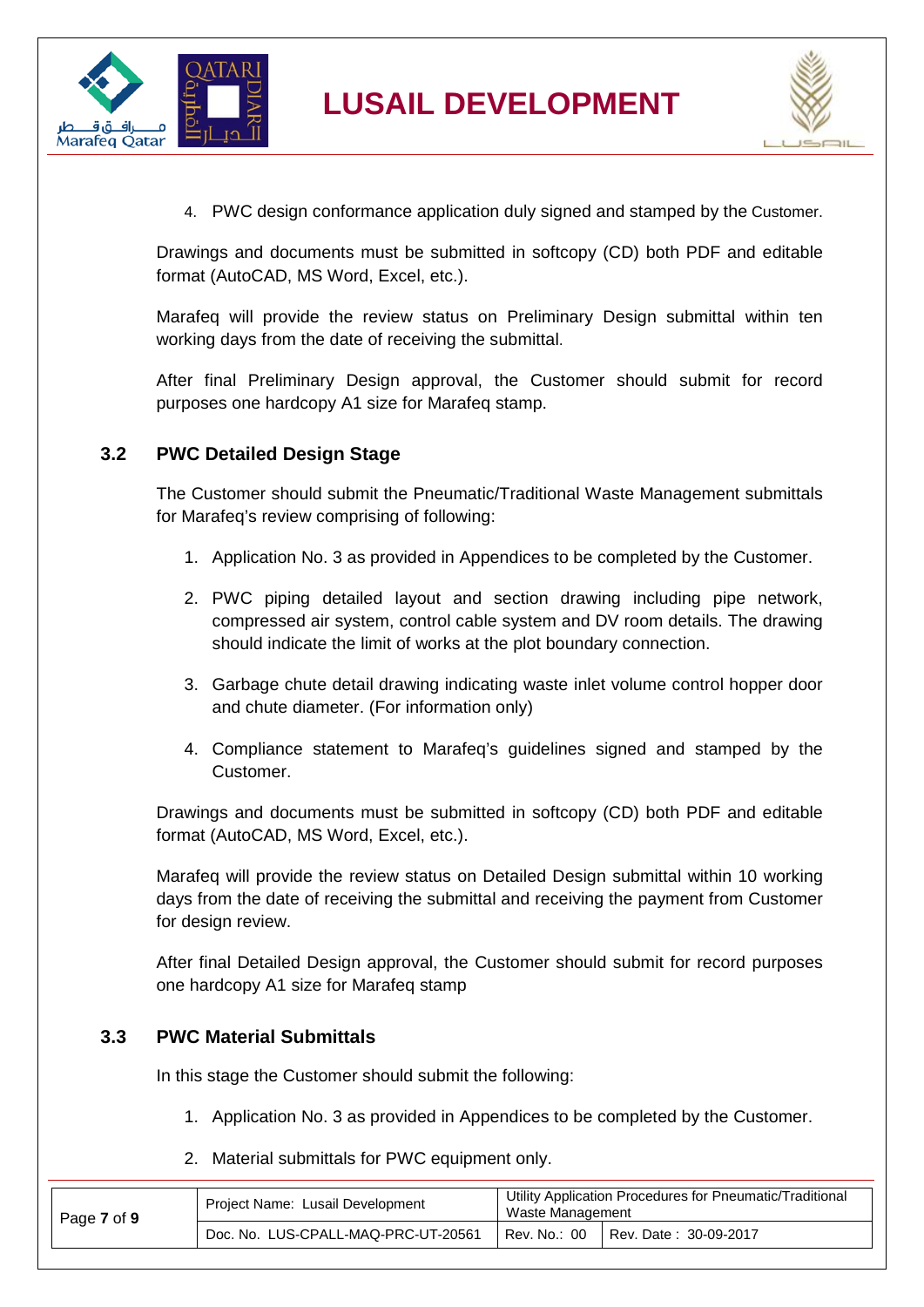



4. PWC design conformance application duly signed and stamped by the Customer.

Drawings and documents must be submitted in softcopy (CD) both PDF and editable format (AutoCAD, MS Word, Excel, etc.).

Marafeq will provide the review status on Preliminary Design submittal within ten working days from the date of receiving the submittal.

After final Preliminary Design approval, the Customer should submit for record purposes one hardcopy A1 size for Marafeq stamp.

#### <span id="page-6-0"></span>**3.2 PWC Detailed Design Stage**

The Customer should submit the Pneumatic/Traditional Waste Management submittals for Marafeq's review comprising of following:

- 1. Application No. 3 as provided in Appendices to be completed by the Customer.
- 2. PWC piping detailed layout and section drawing including pipe network, compressed air system, control cable system and DV room details. The drawing should indicate the limit of works at the plot boundary connection.
- 3. Garbage chute detail drawing indicating waste inlet volume control hopper door and chute diameter. (For information only)
- 4. Compliance statement to Marafeq's guidelines signed and stamped by the Customer.

Drawings and documents must be submitted in softcopy (CD) both PDF and editable format (AutoCAD, MS Word, Excel, etc.).

Marafeq will provide the review status on Detailed Design submittal within 10 working days from the date of receiving the submittal and receiving the payment from Customer for design review.

After final Detailed Design approval, the Customer should submit for record purposes one hardcopy A1 size for Marafeq stamp

#### <span id="page-6-1"></span>**3.3 PWC Material Submittals**

In this stage the Customer should submit the following:

- 1. Application No. 3 as provided in Appendices to be completed by the Customer.
- 2. Material submittals for PWC equipment only.

| Page 7 of 9 | Project Name: Lusail Development    | Utility Application Procedures for Pneumatic/Traditional<br>Waste Management |                       |
|-------------|-------------------------------------|------------------------------------------------------------------------------|-----------------------|
|             | Doc. No. LUS-CPALL-MAQ-PRC-UT-20561 | Rev. No.: 00                                                                 | Rev. Date: 30-09-2017 |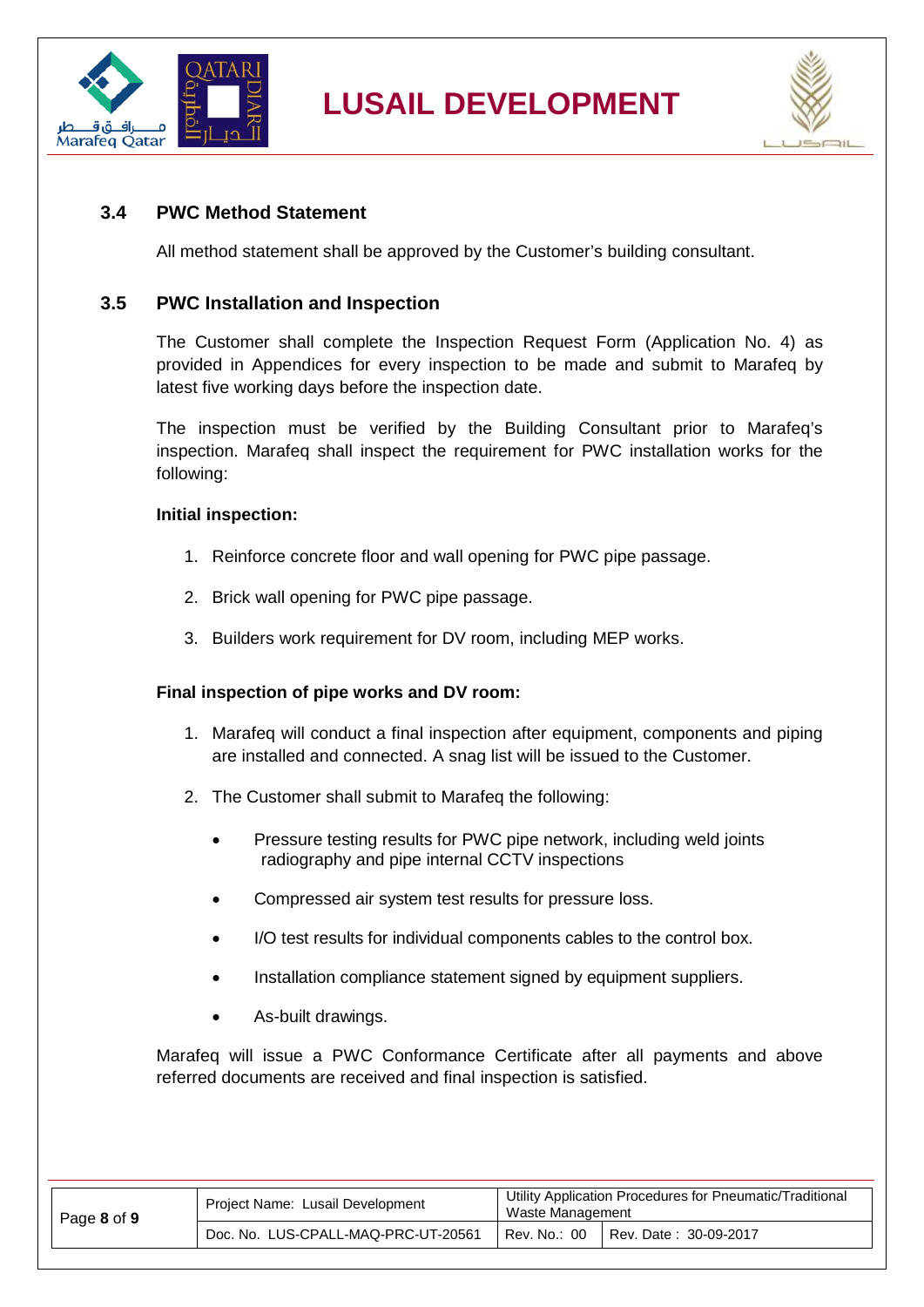



#### <span id="page-7-0"></span>**3.4 PWC Method Statement**

All method statement shall be approved by the Customer's building consultant.

#### <span id="page-7-1"></span>**3.5 PWC Installation and Inspection**

The Customer shall complete the Inspection Request Form (Application No. 4) as provided in Appendices for every inspection to be made and submit to Marafeq by latest five working days before the inspection date.

The inspection must be verified by the Building Consultant prior to Marafeq's inspection. Marafeq shall inspect the requirement for PWC installation works for the following:

#### **Initial inspection:**

- 1. Reinforce concrete floor and wall opening for PWC pipe passage.
- 2. Brick wall opening for PWC pipe passage.
- 3. Builders work requirement for DV room, including MEP works.

#### **Final inspection of pipe works and DV room:**

- 1. Marafeq will conduct a final inspection after equipment, components and piping are installed and connected. A snag list will be issued to the Customer.
- 2. The Customer shall submit to Marafeq the following:
	- Pressure testing results for PWC pipe network, including weld joints radiography and pipe internal CCTV inspections
	- Compressed air system test results for pressure loss.
	- I/O test results for individual components cables to the control box.
	- Installation compliance statement signed by equipment suppliers.
	- As-built drawings.

Marafeq will issue a PWC Conformance Certificate after all payments and above referred documents are received and final inspection is satisfied.

| Page 8 of 9 | Project Name: Lusail Development    | Utility Application Procedures for Pneumatic/Traditional<br>Waste Management |                       |  |
|-------------|-------------------------------------|------------------------------------------------------------------------------|-----------------------|--|
|             | Doc. No. LUS-CPALL-MAQ-PRC-UT-20561 | Rev. No.: 00                                                                 | Rev. Date: 30-09-2017 |  |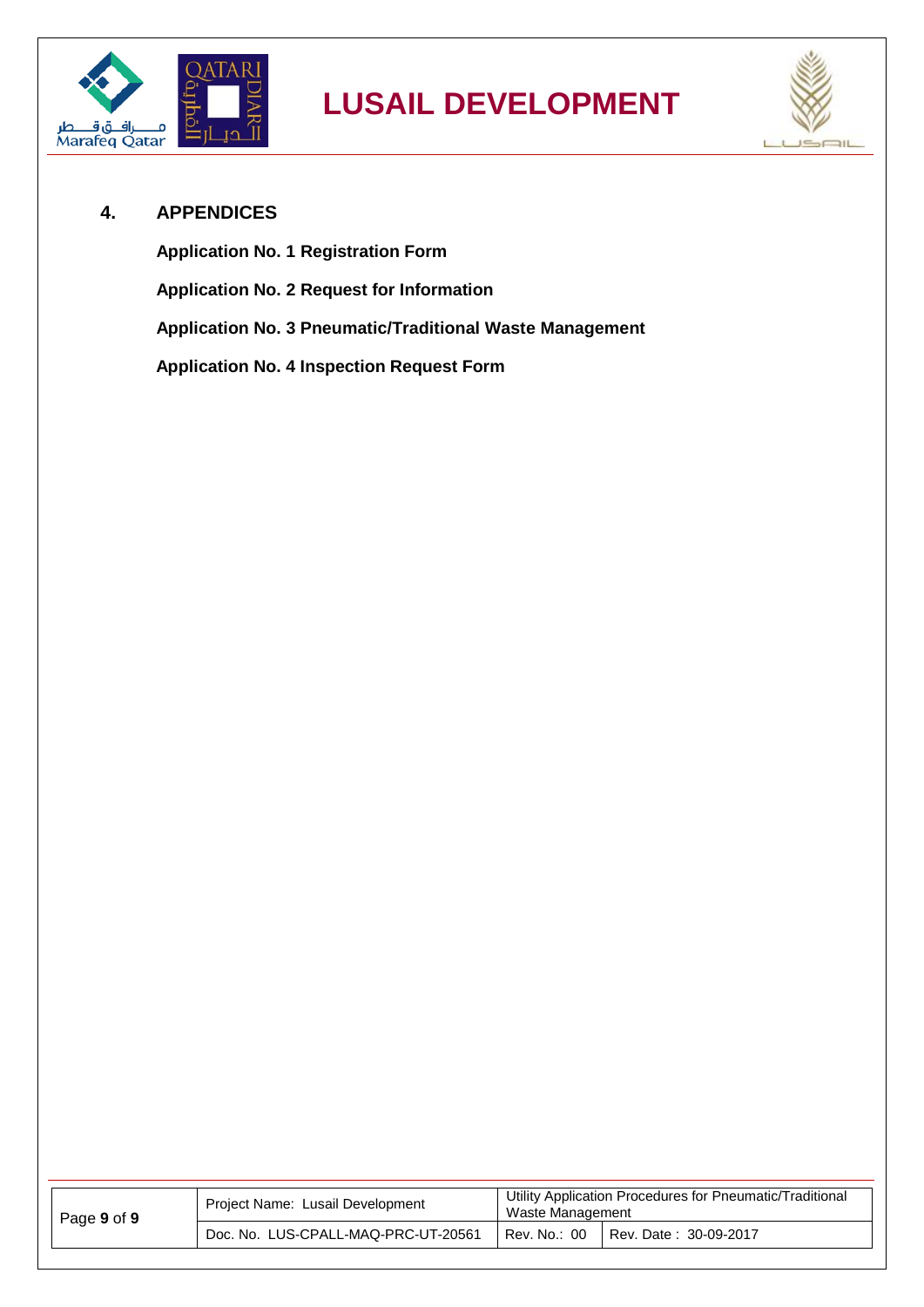



#### <span id="page-8-0"></span>**4. APPENDICES**

**Application No. 1 Registration Form Application No. 2 Request for Information Application No. 3 Pneumatic/Traditional Waste Management Application No. 4 Inspection Request Form**

| Page 9 of 9 | Project Name: Lusail Development    | Utility Application Procedures for Pneumatic/Traditional<br>Waste Management |  |
|-------------|-------------------------------------|------------------------------------------------------------------------------|--|
|             | Doc. No. LUS-CPALL-MAQ-PRC-UT-20561 | Rev. No.: 00<br>Rev. Date: 30-09-2017                                        |  |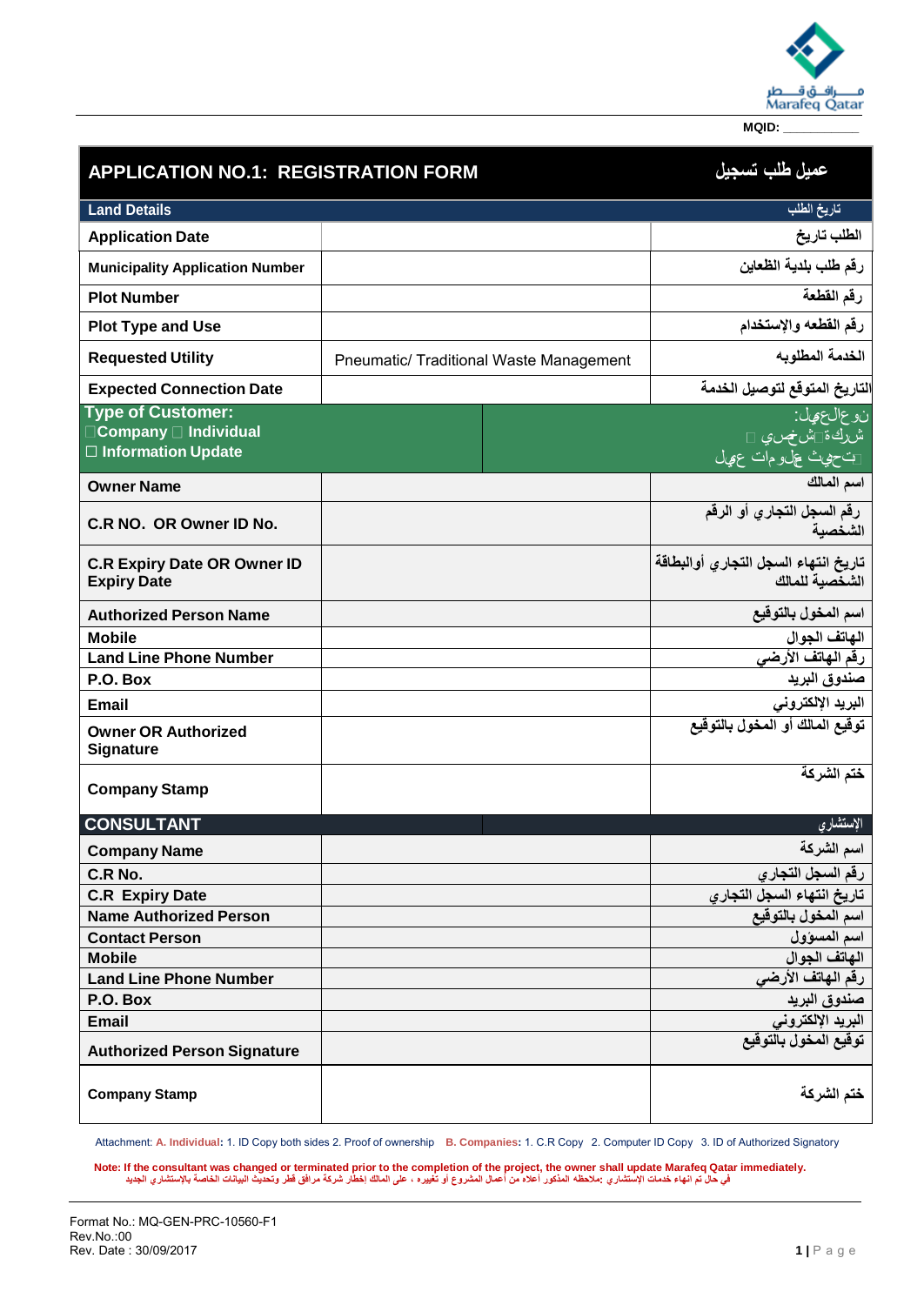

| <b>APPLICATION NO.1: REGISTRATION FORM</b>                                     |                                                | عميل طلب تسجيل                                         |  |  |
|--------------------------------------------------------------------------------|------------------------------------------------|--------------------------------------------------------|--|--|
| <b>Land Details</b>                                                            |                                                | تاريخ الطلب                                            |  |  |
| <b>Application Date</b>                                                        |                                                | الطلب تاريخ                                            |  |  |
| <b>Municipality Application Number</b>                                         |                                                | رقم طلب بلدية الظعاين                                  |  |  |
| <b>Plot Number</b>                                                             |                                                | رقم القطعة                                             |  |  |
| <b>Plot Type and Use</b>                                                       |                                                | رقم القطعه والإستخدام                                  |  |  |
| <b>Requested Utility</b>                                                       | <b>Pneumatic/ Traditional Waste Management</b> | الخدمة المطلوبه                                        |  |  |
| <b>Expected Connection Date</b>                                                |                                                | لتاريخ المتوقع لتوصيل الخدمة                           |  |  |
| <b>Type of Customer:</b><br>□Company □ Individual<br>$\Box$ Information Update |                                                | نوعالعهل:<br>شركة تشخصي □<br>تتحيث علىومات عهيل        |  |  |
| <b>Owner Name</b>                                                              |                                                | اسم المالك                                             |  |  |
| C.R NO. OR Owner ID No.                                                        |                                                | رقم السجل التجاري أو الرقم<br>الشخصية                  |  |  |
| <b>C.R Expiry Date OR Owner ID</b><br><b>Expiry Date</b>                       |                                                | تاريخ انتهاء السجل التجارى أوالبطاقة<br>الشخصية للمالك |  |  |
| <b>Authorized Person Name</b>                                                  |                                                | اسم المخول بالتوقيع                                    |  |  |
| <b>Mobile</b>                                                                  |                                                | الهاتف الجوال                                          |  |  |
| <b>Land Line Phone Number</b>                                                  |                                                | رقم الهاتف الأرضى                                      |  |  |
| P.O. Box                                                                       |                                                | صندوق البريد                                           |  |  |
| <b>Email</b>                                                                   |                                                | البريد الإلكتروني                                      |  |  |
| <b>Owner OR Authorized</b><br><b>Signature</b>                                 |                                                | توقيع المالك أو المخول بالتوقيع                        |  |  |
| <b>Company Stamp</b>                                                           |                                                | ختم الشركة                                             |  |  |
| <b>CONSULTANT</b>                                                              |                                                | الإستشارى                                              |  |  |
| <b>Company Name</b>                                                            |                                                | اسم الشركة                                             |  |  |
| C.R No.                                                                        |                                                | رقم السجل التجا <i>ر ي</i>                             |  |  |
| <b>C.R Expiry Date</b>                                                         |                                                | تاريخ انتهاء السجل التجارى                             |  |  |
| <b>Name Authorized Person</b>                                                  |                                                | اسم المخول بالتوقيع                                    |  |  |
| <b>Contact Person</b>                                                          |                                                | اسم المسؤول                                            |  |  |
| <b>Mobile</b>                                                                  |                                                | الهاتف الجوال                                          |  |  |
| <b>Land Line Phone Number</b><br>P.O. Box                                      |                                                | رقم الهاتف الأرضى                                      |  |  |
| <b>Email</b>                                                                   |                                                | صندوق البريد                                           |  |  |
| <b>Authorized Person Signature</b>                                             |                                                | البريد الإلكترون <i>ي</i><br>توقيع المخول بالتوقيع     |  |  |
| <b>Company Stamp</b>                                                           |                                                | ختم الشركة                                             |  |  |

Attachment: **A. Individual:** 1. ID Copy both sides 2. Proof of ownership **B. Companies:** 1. C.R Copy 2. Computer ID Copy 3. ID of Authorized Signatory

.Note: If the consultant was changed or terminated prior to the completion of the project, the owner shall update Marafeq Qatar immediately.<br>في حال تم انهاء خدمات الإستشاري :ملاحظه المذكور أعلاه من أعمال المشروع أو تغييره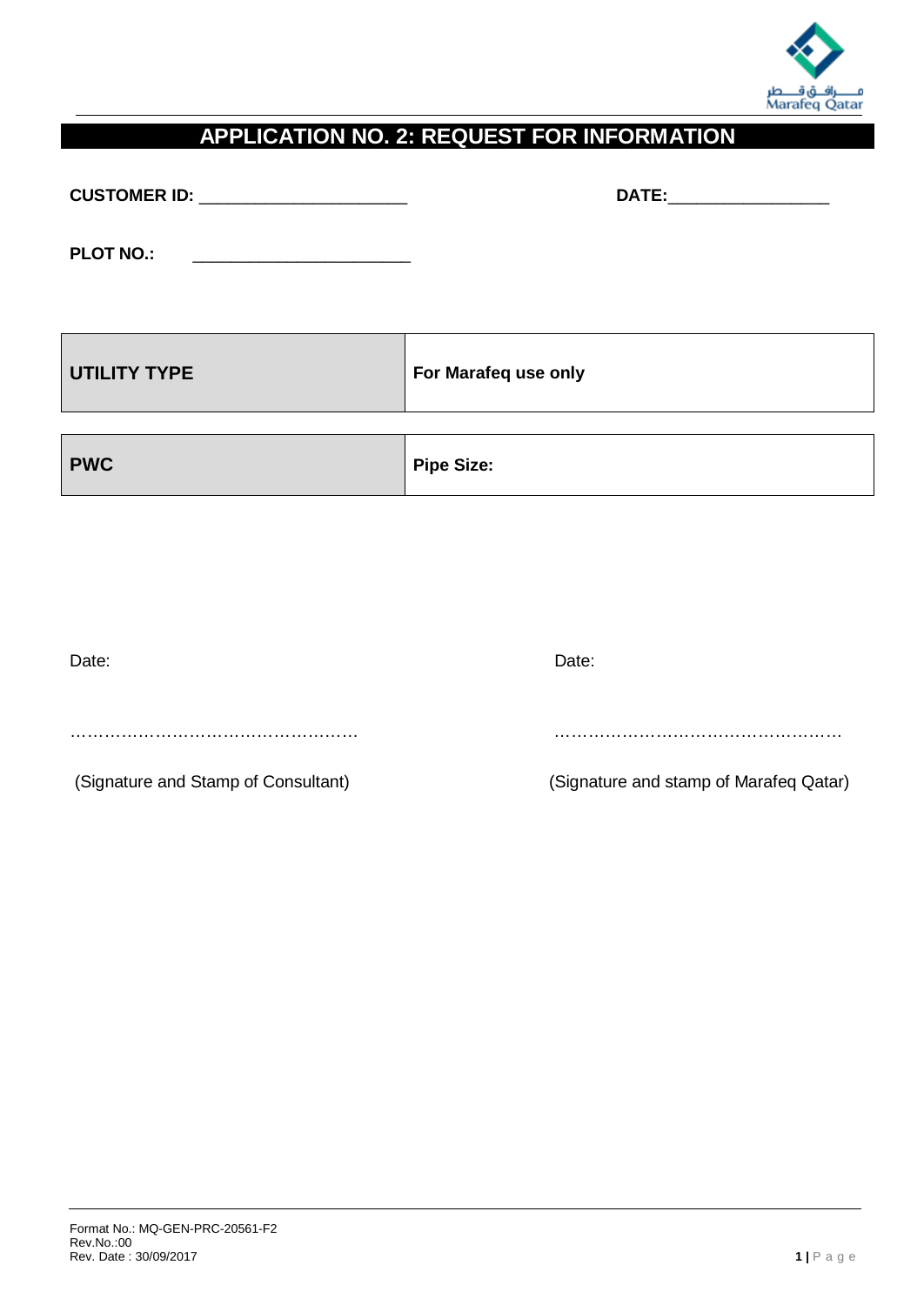

#### **APPLICATION NO. 2: REQUEST FOR INFORMATION**

**CUSTOMER ID:** \_\_\_\_\_\_\_\_\_\_\_\_\_\_\_\_\_\_\_\_\_\_ **DATE:**\_\_\_\_\_\_\_\_\_\_\_\_\_\_\_\_\_

**PLOT NO.:** 

| UTILITY TYPE | For Marafeq use only |
|--------------|----------------------|
| <b>PWC</b>   | <b>Pipe Size:</b>    |

| Date:                               | Date:                                  |
|-------------------------------------|----------------------------------------|
|                                     |                                        |
|                                     |                                        |
| (Signature and Stamp of Consultant) | (Signature and stamp of Marafeq Qatar) |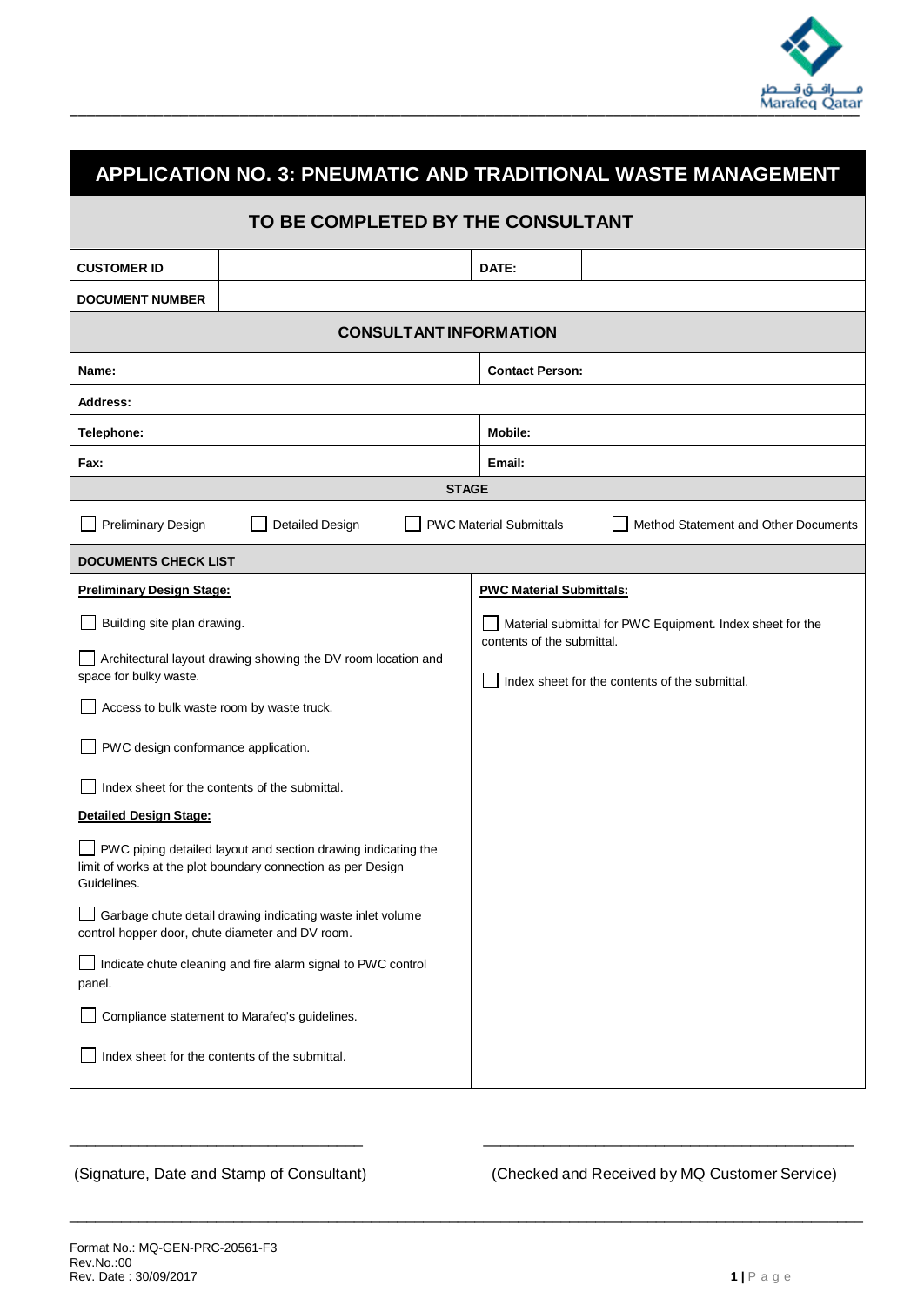

| APPLICATION NO. 3: PNEUMATIC AND TRADITIONAL WASTE MANAGEMENT                                                                                |                                                               |                                                           |  |  |  |
|----------------------------------------------------------------------------------------------------------------------------------------------|---------------------------------------------------------------|-----------------------------------------------------------|--|--|--|
| TO BE COMPLETED BY THE CONSULTANT                                                                                                            |                                                               |                                                           |  |  |  |
| <b>CUSTOMER ID</b>                                                                                                                           |                                                               | DATE:                                                     |  |  |  |
| <b>DOCUMENT NUMBER</b>                                                                                                                       |                                                               |                                                           |  |  |  |
|                                                                                                                                              | <b>CONSULTANT INFORMATION</b>                                 |                                                           |  |  |  |
| Name:                                                                                                                                        |                                                               | <b>Contact Person:</b>                                    |  |  |  |
| Address:                                                                                                                                     |                                                               |                                                           |  |  |  |
| Telephone:                                                                                                                                   |                                                               | <b>Mobile:</b>                                            |  |  |  |
| Fax:                                                                                                                                         |                                                               | Email:                                                    |  |  |  |
|                                                                                                                                              | <b>STAGE</b>                                                  |                                                           |  |  |  |
| Preliminary Design<br><b>Detailed Design</b><br><b>PWC Material Submittals</b><br>Method Statement and Other Documents                       |                                                               |                                                           |  |  |  |
| <b>DOCUMENTS CHECK LIST</b>                                                                                                                  |                                                               |                                                           |  |  |  |
| <b>Preliminary Design Stage:</b>                                                                                                             |                                                               | <b>PWC Material Submittals:</b>                           |  |  |  |
| Building site plan drawing.                                                                                                                  |                                                               | Material submittal for PWC Equipment. Index sheet for the |  |  |  |
|                                                                                                                                              | Architectural layout drawing showing the DV room location and | contents of the submittal.                                |  |  |  |
| space for bulky waste.                                                                                                                       |                                                               | Index sheet for the contents of the submittal.            |  |  |  |
| Access to bulk waste room by waste truck.                                                                                                    |                                                               |                                                           |  |  |  |
| PWC design conformance application.                                                                                                          |                                                               |                                                           |  |  |  |
|                                                                                                                                              | Index sheet for the contents of the submittal.                |                                                           |  |  |  |
| <b>Detailed Design Stage:</b>                                                                                                                |                                                               |                                                           |  |  |  |
| PWC piping detailed layout and section drawing indicating the<br>limit of works at the plot boundary connection as per Design<br>Guidelines. |                                                               |                                                           |  |  |  |
| Garbage chute detail drawing indicating waste inlet volume<br>control hopper door, chute diameter and DV room.                               |                                                               |                                                           |  |  |  |
| panel.                                                                                                                                       | Indicate chute cleaning and fire alarm signal to PWC control  |                                                           |  |  |  |
|                                                                                                                                              | Compliance statement to Marafeq's guidelines.                 |                                                           |  |  |  |
|                                                                                                                                              | Index sheet for the contents of the submittal.                |                                                           |  |  |  |
|                                                                                                                                              |                                                               |                                                           |  |  |  |

\_\_\_\_\_\_\_\_\_\_\_\_\_\_\_\_\_\_\_\_\_\_\_\_\_\_\_\_\_\_\_\_\_\_ \_\_\_\_\_\_\_\_\_\_\_\_\_\_\_\_\_\_\_\_\_\_\_\_\_\_\_\_\_\_\_\_\_\_\_\_\_\_\_\_\_\_\_

\_\_\_\_\_\_\_\_\_\_\_\_\_\_\_\_\_\_\_\_\_\_\_\_\_\_\_\_\_\_\_\_\_\_\_\_\_\_\_\_\_\_\_\_\_\_\_\_\_\_\_\_\_\_\_\_\_\_\_\_\_\_\_\_\_\_\_\_\_\_\_\_\_\_\_\_\_\_\_\_\_\_\_\_\_\_\_\_\_\_\_\_

(Signature, Date and Stamp of Consultant) (Checked and Received by MQ Customer Service)